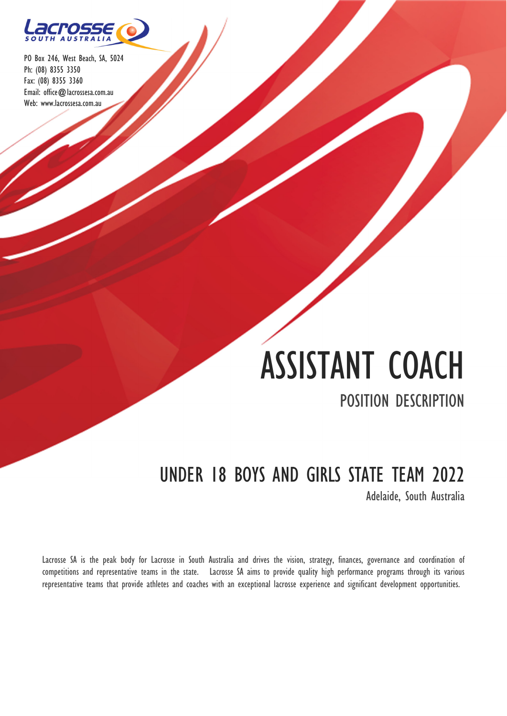

# ASSISTANT COACH

POSITION DESCRIPTION

## UNDER 18 BOYS AND GIRLS STATE TEAM 2022

Adelaide, South Australia

Lacrosse SA is the peak body for Lacrosse in South Australia and drives the vision, strategy, finances, governance and coordination of competitions and representative teams in the state. Lacrosse SA aims to provide quality high performance programs through its various representative teams that provide athletes and coaches with an exceptional lacrosse experience and significant development opportunities.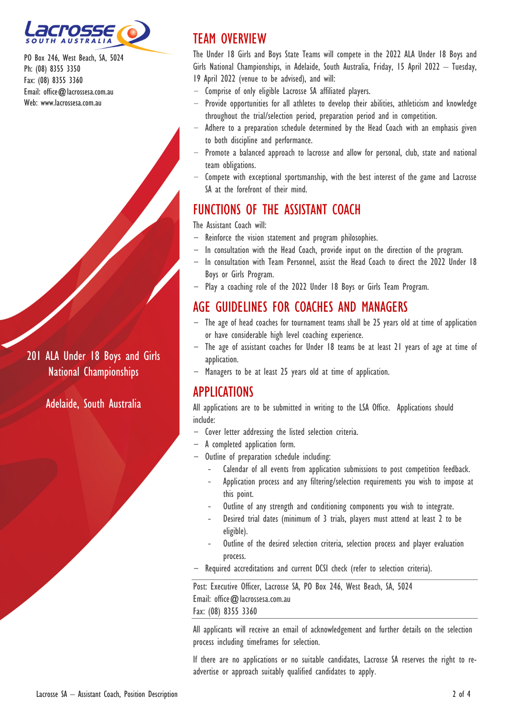

201 ALA Under 18 Boys and Girls National Championships

Adelaide, South Australia

## TEAM OVERVIEW

The Under 18 Girls and Boys State Teams will compete in the 2022 ALA Under 18 Boys and Girls National Championships, in Adelaide, South Australia, Friday, 15 April 2022 – Tuesday, 19 April 2022 (venue to be advised), and will:

- Comprise of only eligible Lacrosse SA affiliated players.
- Provide opportunities for all athletes to develop their abilities, athleticism and knowledge throughout the trial/selection period, preparation period and in competition.
- Adhere to a preparation schedule determined by the Head Coach with an emphasis given to both discipline and performance.
- Promote a balanced approach to lacrosse and allow for personal, club, state and national team obligations.
- Compete with exceptional sportsmanship, with the best interest of the game and Lacrosse SA at the forefront of their mind.

## FUNCTIONS OF THE ASSISTANT COACH

The Assistant Coach will:

- Reinforce the vision statement and program philosophies.
- In consultation with the Head Coach, provide input on the direction of the program.
- In consultation with Team Personnel, assist the Head Coach to direct the 2022 Under 18 Boys or Girls Program.
- Play a coaching role of the 2022 Under 18 Boys or Girls Team Program.

## AGE GUIDELINES FOR COACHES AND MANAGERS

- The age of head coaches for tournament teams shall be 25 years old at time of application or have considerable high level coaching experience.
- The age of assistant coaches for Under 18 teams be at least 21 years of age at time of application.
- Managers to be at least 25 years old at time of application.

### APPLICATIONS

All applications are to be submitted in writing to the LSA Office. Applications should include:

- Cover letter addressing the listed selection criteria.
- A completed application form.
- Outline of preparation schedule including:
	- ‐ Calendar of all events from application submissions to post competition feedback.
	- ‐ Application process and any filtering/selection requirements you wish to impose at this point.
	- ‐ Outline of any strength and conditioning components you wish to integrate.
	- ‐ Desired trial dates (minimum of 3 trials, players must attend at least 2 to be eligible).
	- ‐ Outline of the desired selection criteria, selection process and player evaluation process.
- Required accreditations and current DCSI check (refer to selection criteria).

Post: Executive Officer, Lacrosse SA, PO Box 246, West Beach, SA, 5024 Email: office@lacrossesa.com.au Fax: (08) 8355 3360

All applicants will receive an email of acknowledgement and further details on the selection process including timeframes for selection.

If there are no applications or no suitable candidates, Lacrosse SA reserves the right to readvertise or approach suitably qualified candidates to apply.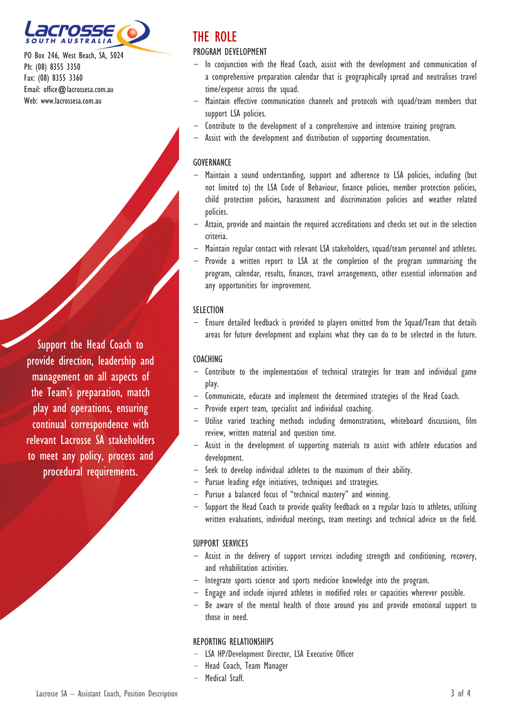

Support the Head Coach to provide direction, leadership and management on all aspects of the Team's preparation, match play and operations, ensuring continual correspondence with relevant Lacrosse SA stakeholders to meet any policy, process and procedural requirements.

## THE ROLE

#### PROGRAM DEVELOPMENT

- In conjunction with the Head Coach, assist with the development and communication of a comprehensive preparation calendar that is geographically spread and neutralises travel time/expense across the squad.
- Maintain effective communication channels and protocols with squad/team members that support LSA policies.
- Contribute to the development of a comprehensive and intensive training program.
- Assist with the development and distribution of supporting documentation.

#### **GOVERNANCE**

- Maintain a sound understanding, support and adherence to LSA policies, including (but not limited to) the LSA Code of Behaviour, finance policies, member protection policies, child protection policies, harassment and discrimination policies and weather related policies.
- Attain, provide and maintain the required accreditations and checks set out in the selection criteria.
- Maintain regular contact with relevant LSA stakeholders, squad/team personnel and athletes.
- Provide a written report to LSA at the completion of the program summarising the program, calendar, results, finances, travel arrangements, other essential information and any opportunities for improvement.

#### **SELECTION**

- Ensure detailed feedback is provided to players omitted from the Squad/Team that details areas for future development and explains what they can do to be selected in the future.

#### COACHING

- Contribute to the implementation of technical strategies for team and individual game play.
- Communicate, educate and implement the determined strategies of the Head Coach.
- Provide expert team, specialist and individual coaching.
- Utilise varied teaching methods including demonstrations, whiteboard discussions, film review, written material and question time.
- Assist in the development of supporting materials to assist with athlete education and development.
- Seek to develop individual athletes to the maximum of their ability.
- Pursue leading edge initiatives, techniques and strategies.
- Pursue a balanced focus of "technical mastery" and winning.
- Support the Head Coach to provide quality feedback on a regular basis to athletes, utilising written evaluations, individual meetings, team meetings and technical advice on the field.

#### SUPPORT SERVICES

- Assist in the delivery of support services including strength and conditioning, recovery, and rehabilitation activities.
- Integrate sports science and sports medicine knowledge into the program.
- Engage and include injured athletes in modified roles or capacities wherever possible.
- Be aware of the mental health of those around you and provide emotional support to those in need.

#### REPORTING RELATIONSHIPS

- LSA HP/Development Director, LSA Executive Officer
- Head Coach, Team Manager
- Medical Staff.